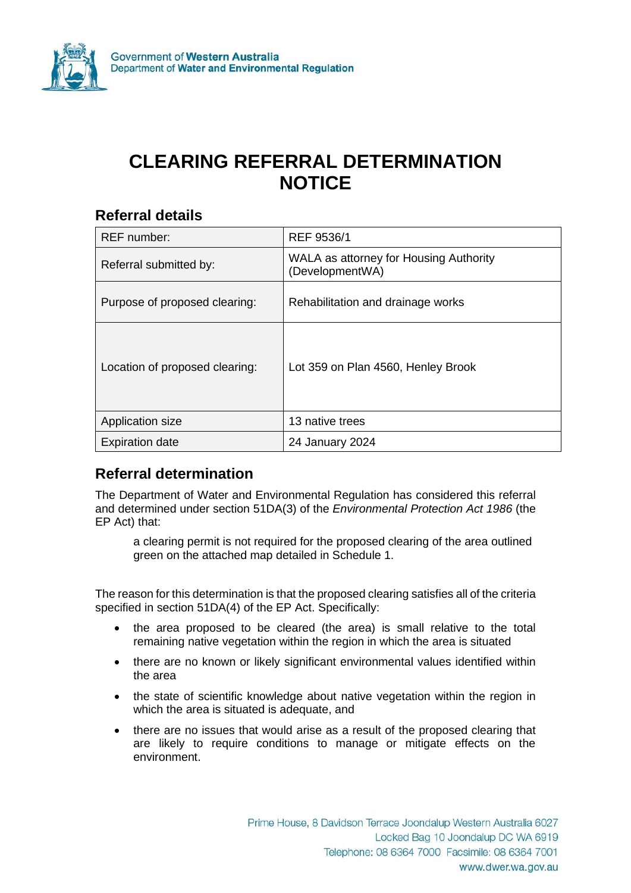

# **CLEARING REFERRAL DETERMINATION NOTICE**

#### **Referral details**

| <b>REF</b> number:             | REF 9536/1                                                |
|--------------------------------|-----------------------------------------------------------|
| Referral submitted by:         | WALA as attorney for Housing Authority<br>(DevelopmentWA) |
| Purpose of proposed clearing:  | Rehabilitation and drainage works                         |
| Location of proposed clearing: | Lot 359 on Plan 4560, Henley Brook                        |
| Application size               | 13 native trees                                           |
| <b>Expiration date</b>         | 24 January 2024                                           |

## **Referral determination**

The Department of Water and Environmental Regulation has considered this referral and determined under section 51DA(3) of the *Environmental Protection Act 1986* (the EP Act) that:

a clearing permit is not required for the proposed clearing of the area outlined green on the attached map detailed in Schedule 1.

The reason for this determination is that the proposed clearing satisfies all of the criteria specified in section 51DA(4) of the EP Act. Specifically:

- the area proposed to be cleared (the area) is small relative to the total remaining native vegetation within the region in which the area is situated
- there are no known or likely significant environmental values identified within the area
- the state of scientific knowledge about native vegetation within the region in which the area is situated is adequate, and
- there are no issues that would arise as a result of the proposed clearing that are likely to require conditions to manage or mitigate effects on the environment.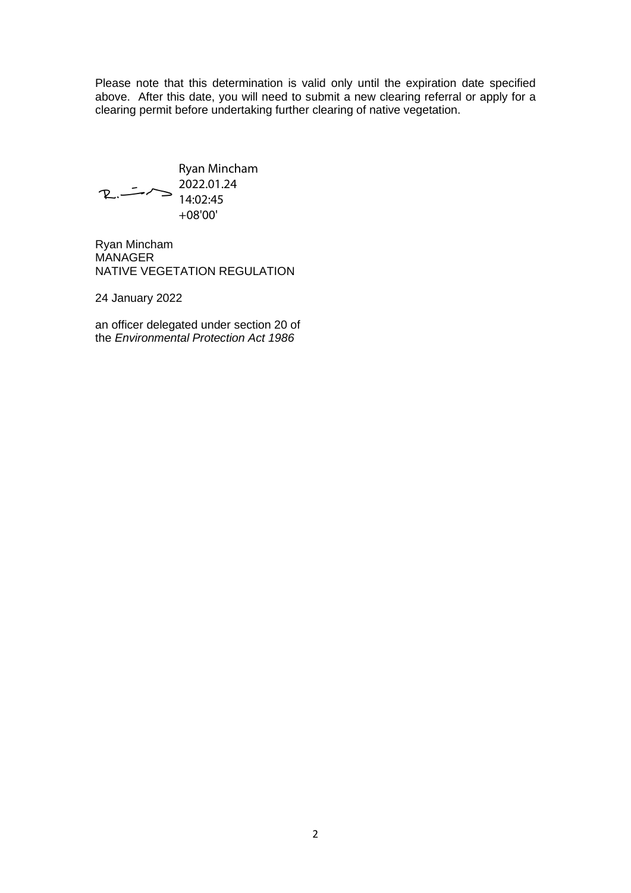Please note that this determination is valid only until the expiration date specified above. After this date, you will need to submit a new clearing referral or apply for a clearing permit before undertaking further clearing of native vegetation.

Ryan Mincham 2022.01.24  $R_{\cdot}$  -  $\sim$ 14:02:45 +08'00'

Ryan Mincham **MANAGER** NATIVE VEGETATION REGULATION

24 January 2022

an officer delegated under section 20 of the *Environmental Protection Act 1986*